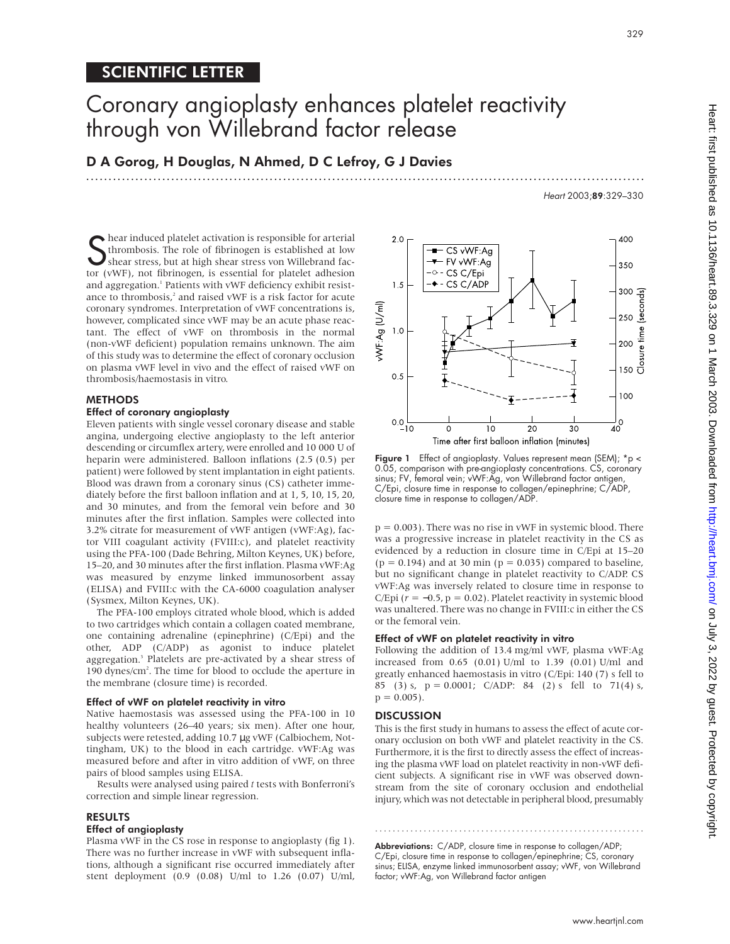## SCIENTIFIC LETTER

# Coronary angioplasty enhances platelet reactivity through von Willebrand factor release

.............................................................................................................................

D A Gorog, H Douglas, N Ahmed, D C Lefroy, G J Davies

**S** hear induced platelet activation is responsible for arterial<br>thrombosis. The role of fibrinogen is established at low<br>shear stress, but at high shear stress von Willebrand fac-<br>tor (vWE), not fibrinogen, is essential f thrombosis. The role of fibrinogen is established at low shear stress, but at high shear stress von Willebrand factor (vWF), not fibrinogen, is essential for platelet adhesion and aggregation.<sup>1</sup> Patients with vWF deficiency exhibit resistance to thrombosis, $^2$  and raised vWF is a risk factor for acute coronary syndromes. Interpretation of vWF concentrations is, however, complicated since vWF may be an acute phase reactant. The effect of vWF on thrombosis in the normal (non-vWF deficient) population remains unknown. The aim of this study was to determine the effect of coronary occlusion on plasma vWF level in vivo and the effect of raised vWF on thrombosis/haemostasis in vitro.

### **METHODS**

#### Effect of coronary angioplasty

Eleven patients with single vessel coronary disease and stable angina, undergoing elective angioplasty to the left anterior descending or circumflex artery, were enrolled and 10 000 U of heparin were administered. Balloon inflations (2.5 (0.5) per patient) were followed by stent implantation in eight patients. Blood was drawn from a coronary sinus (CS) catheter immediately before the first balloon inflation and at 1, 5, 10, 15, 20, and 30 minutes, and from the femoral vein before and 30 minutes after the first inflation. Samples were collected into 3.2% citrate for measurement of vWF antigen (vWF:Ag), factor VIII coagulant activity (FVIII:c), and platelet reactivity using the PFA-100 (Dade Behring, Milton Keynes, UK) before, 15–20, and 30 minutes after the first inflation. Plasma vWF:Ag was measured by enzyme linked immunosorbent assay (ELISA) and FVIII:c with the CA-6000 coagulation analyser (Sysmex, Milton Keynes, UK).

The PFA-100 employs citrated whole blood, which is added to two cartridges which contain a collagen coated membrane, one containing adrenaline (epinephrine) (C/Epi) and the other, ADP (C/ADP) as agonist to induce platelet aggregation.<sup>3</sup> Platelets are pre-activated by a shear stress of 190 dynes/cm<sup>2</sup>. The time for blood to occlude the aperture in the membrane (closure time) is recorded.

#### Effect of vWF on platelet reactivity in vitro

Native haemostasis was assessed using the PFA-100 in 10 healthy volunteers (26–40 years; six men). After one hour, subjects were retested, adding 10.7 µg vWF (Calbiochem, Nottingham, UK) to the blood in each cartridge. vWF:Ag was measured before and after in vitro addition of vWF, on three pairs of blood samples using ELISA.

Results were analysed using paired *t* tests with Bonferroni's correction and simple linear regression.

#### RESULTS

#### Effect of angioplasty

Plasma vWF in the CS rose in response to angioplasty (fig 1). There was no further increase in vWF with subsequent inflations, although a significant rise occurred immediately after stent deployment (0.9 (0.08) U/ml to 1.26 (0.07) U/ml,



Figure 1 Effect of angioplasty. Values represent mean (SEM); \*p < 0.05, comparison with pre-angioplasty concentrations. CS, coronary sinus; FV, femoral vein; vWF:Ag, von Willebrand factor antigen, C/Epi, closure time in response to collagen/epinephrine; C/ADP, closure time in response to collagen/ADP.

 $p = 0.003$ ). There was no rise in vWF in systemic blood. There was a progressive increase in platelet reactivity in the CS as evidenced by a reduction in closure time in C/Epi at 15–20  $(p = 0.194)$  and at 30 min  $(p = 0.035)$  compared to baseline, but no significant change in platelet reactivity to C/ADP. CS vWF:Ag was inversely related to closure time in response to C/Epi  $(r = -0.5, p = 0.02)$ . Platelet reactivity in systemic blood was unaltered. There was no change in FVIII:c in either the CS or the femoral vein.

#### Effect of vWF on platelet reactivity in vitro

Following the addition of 13.4 mg/ml vWF, plasma vWF:Ag increased from 0.65 (0.01) U/ml to 1.39 (0.01) U/ml and greatly enhanced haemostasis in vitro (C/Epi: 140 (7) s fell to 85 (3) s,  $p = 0.0001$ ; C/ADP: 84 (2) s fell to 71(4) s,  $p = 0.005$ ).

#### **DISCUSSION**

This is the first study in humans to assess the effect of acute coronary occlusion on both vWF and platelet reactivity in the CS. Furthermore, it is the first to directly assess the effect of increasing the plasma vWF load on platelet reactivity in non-vWF deficient subjects. A significant rise in vWF was observed downstream from the site of coronary occlusion and endothelial injury, which was not detectable in peripheral blood, presumably

Abbreviations: C/ADP, closure time in response to collagen/ADP; C/Epi, closure time in response to collagen/epinephrine; CS, coronary sinus; ELISA, enzyme linked immunosorbent assay; vWF, von Willebrand factor; vWF:Ag, von Willebrand factor antigen

.............................................................

Heart 2003;89:329–330